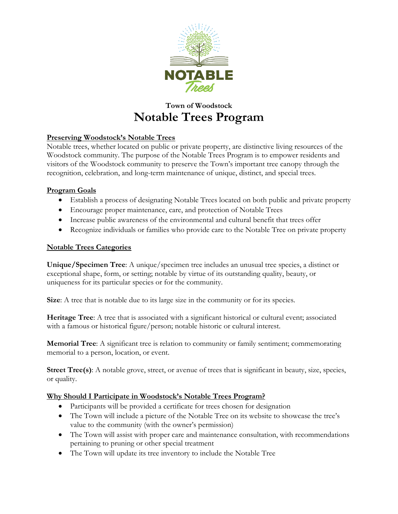

# **Town of Woodstock Notable Trees Program**

## **Preserving Woodstock's Notable Trees**

Notable trees, whether located on public or private property, are distinctive living resources of the Woodstock community. The purpose of the Notable Trees Program is to empower residents and visitors of the Woodstock community to preserve the Town's important tree canopy through the recognition, celebration, and long-term maintenance of unique, distinct, and special trees.

## **Program Goals**

- Establish a process of designating Notable Trees located on both public and private property
- Encourage proper maintenance, care, and protection of Notable Trees
- Increase public awareness of the environmental and cultural benefit that trees offer
- Recognize individuals or families who provide care to the Notable Tree on private property

## **Notable Trees Categories**

**Unique/Specimen Tree**: A unique/specimen tree includes an unusual tree species, a distinct or exceptional shape, form, or setting; notable by virtue of its outstanding quality, beauty, or uniqueness for its particular species or for the community.

**Size**: A tree that is notable due to its large size in the community or for its species.

**Heritage Tree**: A tree that is associated with a significant historical or cultural event; associated with a famous or historical figure/person; notable historic or cultural interest.

**Memorial Tree**: A significant tree is relation to community or family sentiment; commemorating memorial to a person, location, or event.

**Street Tree(s)**: A notable grove, street, or avenue of trees that is significant in beauty, size, species, or quality.

## **Why Should I Participate in Woodstock's Notable Trees Program?**

- Participants will be provided a certificate for trees chosen for designation
- The Town will include a picture of the Notable Tree on its website to showcase the tree's value to the community (with the owner's permission)
- The Town will assist with proper care and maintenance consultation, with recommendations pertaining to pruning or other special treatment
- The Town will update its tree inventory to include the Notable Tree